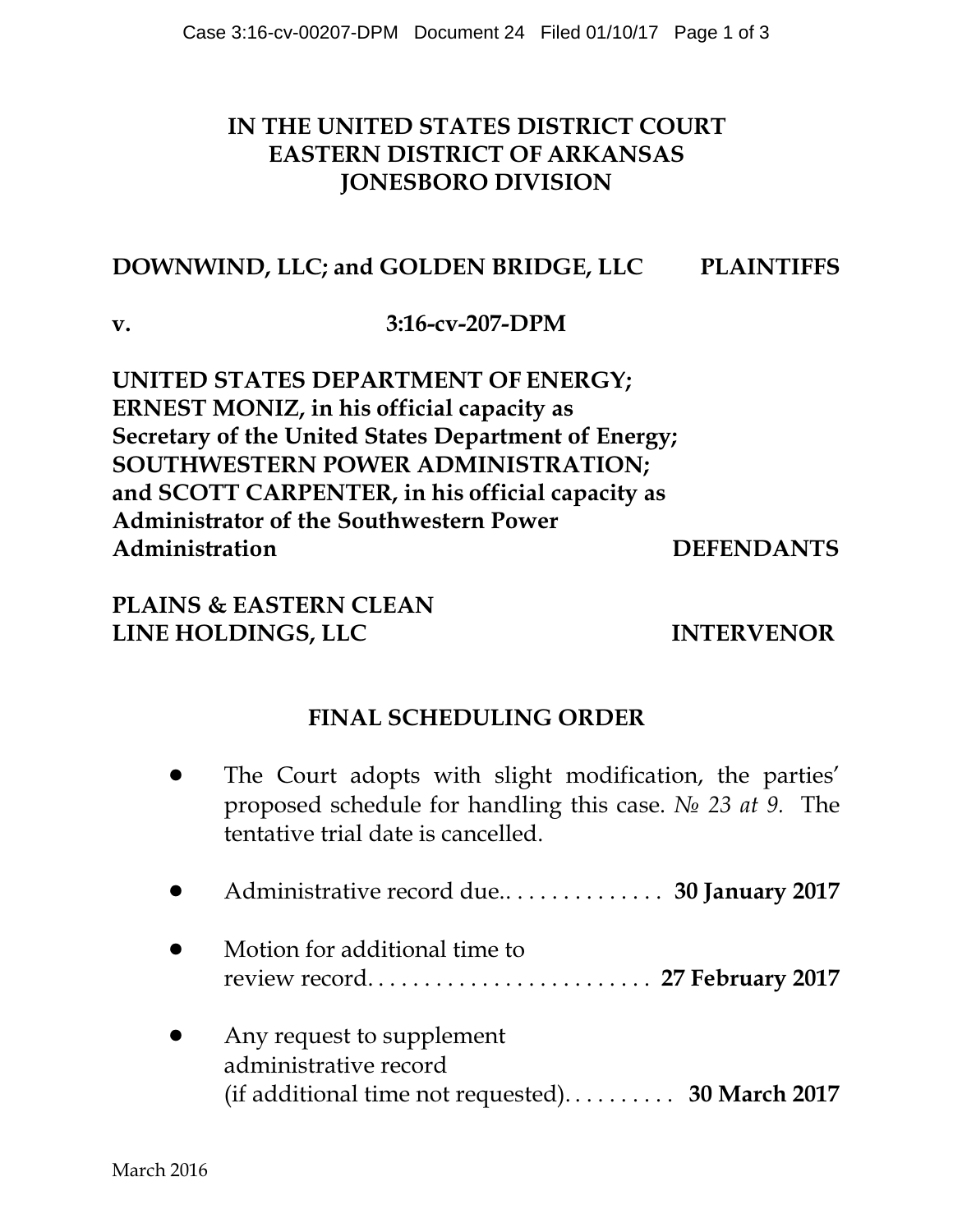## **IN THE UNITED STATES DISTRICT COURT EASTERN DISTRICT OF ARKANSAS JONESBORO DIVISION**

## **DOWNWIND, LLC; and GOLDEN BRIDGE, LLC PLAINTIFFS**

**v. 3:16-cv-207-DPM**

**UNITED STATES DEPARTMENT OF ENERGY; ERNEST MONIZ, in his official capacity as Secretary of the United States Department of Energy; SOUTHWESTERN POWER ADMINISTRATION; and SCOTT CARPENTER, in his official capacity as Administrator of the Southwestern Power Administration DEFENDANTS**

**PLAINS & EASTERN CLEAN LINE HOLDINGS, LLC INTERVENOR** 

## **FINAL SCHEDULING ORDER**

- ! The Court adopts with slight modification, the parties' proposed schedule for handling this case. *N*<sup>2</sup> 23 *at* 9. The tentative trial date is cancelled.
- ! Administrative record due.. . . . . . . . . . . . . . **30 January 2017**
- Motion for additional time to review record. . . . . . . . . . . . . . . . . . . . . . . . . **27 February 2017**
- Any request to supplement administrative record (if additional time not requested). . . . . . . . . . **30 March 2017**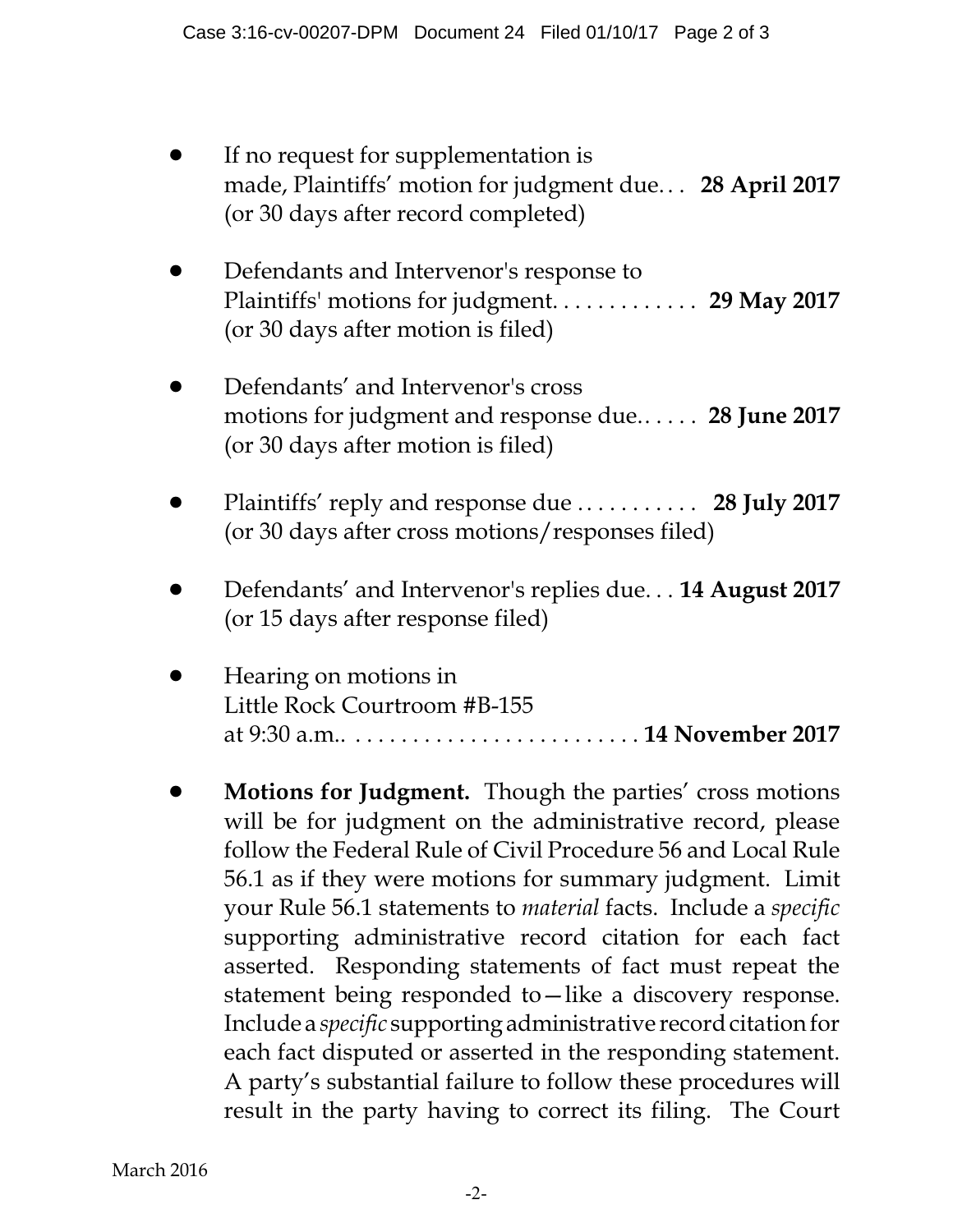- If no request for supplementation is made, Plaintiffs' motion for judgment due. . . **28 April 2017** (or 30 days after record completed)
- Defendants and Intervenor's response to Plaintiffs' motions for judgment. . . . . . . . . . . . . **29 May 2017** (or 30 days after motion is filed)
- Defendants' and Intervenor's cross motions for judgment and response due.. . . . . **28 June 2017** (or 30 days after motion is filed)
- ! Plaintiffs' reply and response due . . . . . . . . . . . **28 July 2017** (or 30 days after cross motions/responses filed)
- ! Defendants' and Intervenor's replies due. . . **14 August 2017** (or 15 days after response filed)
- ! Hearing on motions in Little Rock Courtroom #B-155 at 9:30 a.m.. . . . . . . . . . . . . . . . . . . . . . . . . . **14 November 2017**
- ! **Motions for Judgment.** Though the parties' cross motions will be for judgment on the administrative record, please follow the Federal Rule of Civil Procedure 56 and Local Rule 56.1 as if they were motions for summary judgment. Limit your Rule 56.1 statements to *material* facts. Include a *specific* supporting administrative record citation for each fact asserted. Responding statements of fact must repeat the statement being responded to—like a discovery response. Include a *specific* supportingadministrative record citation for each fact disputed or asserted in the responding statement. A party's substantial failure to follow these procedures will result in the party having to correct its filing. The Court